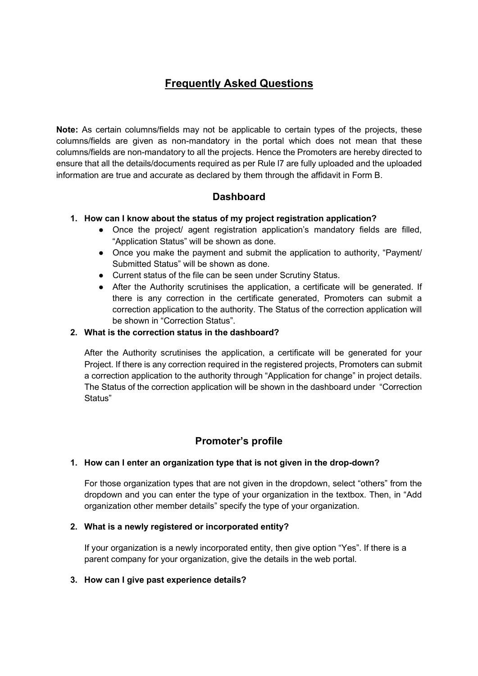# Frequently Asked Questions

Note: As certain columns/fields may not be applicable to certain types of the projects, these columns/fields are given as non-mandatory in the portal which does not mean that these columns/fields are non-mandatory to all the projects. Hence the Promoters are hereby directed to ensure that all the details/documents required as per Rule l7 are fully uploaded and the uploaded information are true and accurate as declared by them through the affidavit in Form B.

# **Dashboard**

### 1. How can I know about the status of my project registration application?

- Once the project/ agent registration application's mandatory fields are filled, "Application Status" will be shown as done.
- Once you make the payment and submit the application to authority, "Payment/ Submitted Status" will be shown as done.
- Current status of the file can be seen under Scrutiny Status.
- After the Authority scrutinises the application, a certificate will be generated. If there is any correction in the certificate generated, Promoters can submit a correction application to the authority. The Status of the correction application will be shown in "Correction Status".

#### 2. What is the correction status in the dashboard?

After the Authority scrutinises the application, a certificate will be generated for your Project. If there is any correction required in the registered projects, Promoters can submit a correction application to the authority through "Application for change" in project details. The Status of the correction application will be shown in the dashboard under "Correction Status"

# Promoter's profile

#### 1. How can I enter an organization type that is not given in the drop-down?

For those organization types that are not given in the dropdown, select "others" from the dropdown and you can enter the type of your organization in the textbox. Then, in "Add organization other member details" specify the type of your organization.

#### 2. What is a newly registered or incorporated entity?

If your organization is a newly incorporated entity, then give option "Yes". If there is a parent company for your organization, give the details in the web portal.

#### 3. How can I give past experience details?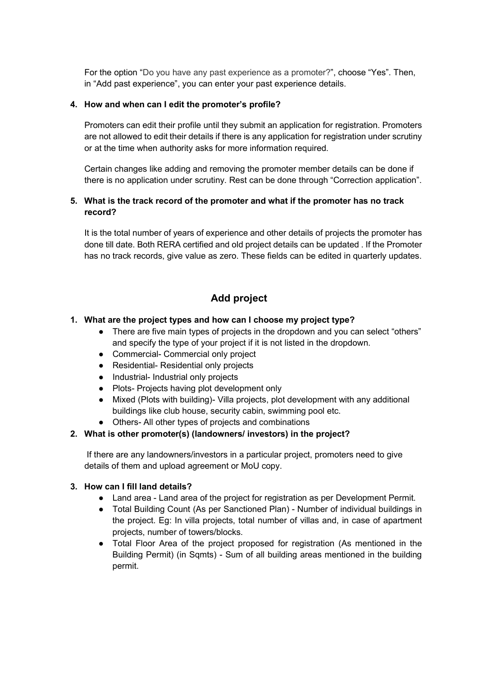For the option "Do you have any past experience as a promoter?", choose "Yes". Then, in "Add past experience", you can enter your past experience details.

#### 4. How and when can I edit the promoter's profile?

Promoters can edit their profile until they submit an application for registration. Promoters are not allowed to edit their details if there is any application for registration under scrutiny or at the time when authority asks for more information required.

Certain changes like adding and removing the promoter member details can be done if there is no application under scrutiny. Rest can be done through "Correction application".

## 5. What is the track record of the promoter and what if the promoter has no track record?

It is the total number of years of experience and other details of projects the promoter has done till date. Both RERA certified and old project details can be updated . If the Promoter has no track records, give value as zero. These fields can be edited in quarterly updates.

# Add project

### 1. What are the project types and how can I choose my project type?

- There are five main types of projects in the dropdown and you can select "others" and specify the type of your project if it is not listed in the dropdown.
- Commercial- Commercial only project
- Residential- Residential only projects
- Industrial- Industrial only projects
- Plots- Projects having plot development only
- Mixed (Plots with building)- Villa projects, plot development with any additional buildings like club house, security cabin, swimming pool etc.
- Others- All other types of projects and combinations

#### 2. What is other promoter(s) (landowners/ investors) in the project?

If there are any landowners/investors in a particular project, promoters need to give details of them and upload agreement or MoU copy.

#### 3. How can I fill land details?

- Land area Land area of the project for registration as per Development Permit.
- Total Building Count (As per Sanctioned Plan) Number of individual buildings in the project. Eg: In villa projects, total number of villas and, in case of apartment projects, number of towers/blocks.
- Total Floor Area of the project proposed for registration (As mentioned in the Building Permit) (in Sqmts) - Sum of all building areas mentioned in the building permit.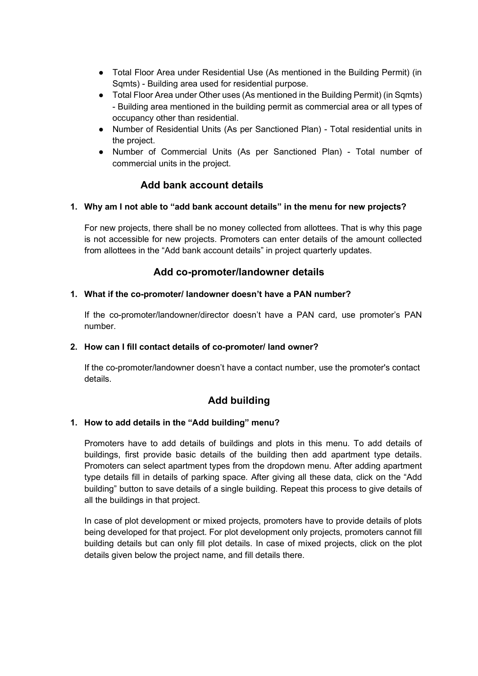- Total Floor Area under Residential Use (As mentioned in the Building Permit) (in Sqmts) - Building area used for residential purpose.
- Total Floor Area under Other uses (As mentioned in the Building Permit) (in Sqmts) - Building area mentioned in the building permit as commercial area or all types of occupancy other than residential.
- Number of Residential Units (As per Sanctioned Plan) Total residential units in the project.
- Number of Commercial Units (As per Sanctioned Plan) Total number of commercial units in the project.

# Add bank account details

### 1. Why am I not able to "add bank account details" in the menu for new projects?

For new projects, there shall be no money collected from allottees. That is why this page is not accessible for new projects. Promoters can enter details of the amount collected from allottees in the "Add bank account details" in project quarterly updates.

## Add co-promoter/landowner details

### 1. What if the co-promoter/ landowner doesn't have a PAN number?

If the co-promoter/landowner/director doesn't have a PAN card, use promoter's PAN number.

#### 2. How can I fill contact details of co-promoter/ land owner?

If the co-promoter/landowner doesn't have a contact number, use the promoter's contact details.

# Add building

#### 1. How to add details in the "Add building" menu?

Promoters have to add details of buildings and plots in this menu. To add details of buildings, first provide basic details of the building then add apartment type details. Promoters can select apartment types from the dropdown menu. After adding apartment type details fill in details of parking space. After giving all these data, click on the "Add building" button to save details of a single building. Repeat this process to give details of all the buildings in that project.

In case of plot development or mixed projects, promoters have to provide details of plots being developed for that project. For plot development only projects, promoters cannot fill building details but can only fill plot details. In case of mixed projects, click on the plot details given below the project name, and fill details there.